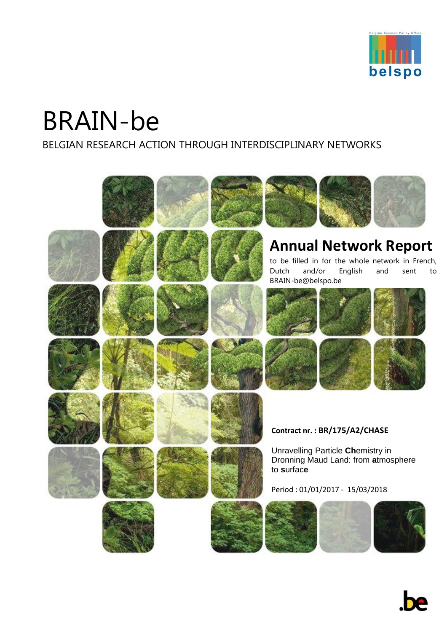

# BRAIN-be

BELGIAN RESEARCH ACTION THROUGH INTERDISCIPLINARY NETWORKS

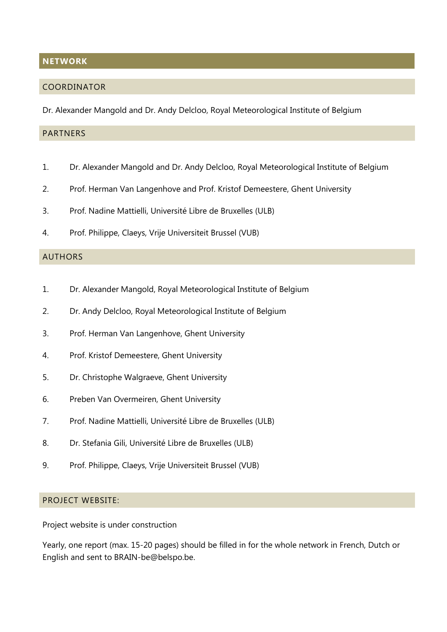#### <span id="page-1-0"></span>**NETWORK**

#### <span id="page-1-1"></span>COORDINATOR

Dr. Alexander Mangold and Dr. Andy Delcloo, Royal Meteorological Institute of Belgium

## <span id="page-1-2"></span>**PARTNERS**

- 1. Dr. Alexander Mangold and Dr. Andy Delcloo, Royal Meteorological Institute of Belgium
- 2. Prof. Herman Van Langenhove and Prof. Kristof Demeestere, Ghent University
- 3. Prof. Nadine Mattielli, Université Libre de Bruxelles (ULB)
- 4. Prof. Philippe, Claeys, Vrije Universiteit Brussel (VUB)

#### <span id="page-1-3"></span>AUTHORS

- 1. Dr. Alexander Mangold, Royal Meteorological Institute of Belgium
- 2. Dr. Andy Delcloo, Royal Meteorological Institute of Belgium
- 3. Prof. Herman Van Langenhove, Ghent University
- 4. Prof. Kristof Demeestere, Ghent University
- 5. Dr. Christophe Walgraeve, Ghent University
- 6. Preben Van Overmeiren, Ghent University
- 7. Prof. Nadine Mattielli, Université Libre de Bruxelles (ULB)
- 8. Dr. Stefania Gili, Université Libre de Bruxelles (ULB)
- 9. Prof. Philippe, Claeys, Vrije Universiteit Brussel (VUB)

# <span id="page-1-4"></span>PROJECT WEBSITE:

Project website is under construction

Yearly, one report (max. 15-20 pages) should be filled in for the whole network in French, Dutch or English and sent to BRAIN-be@belspo.be.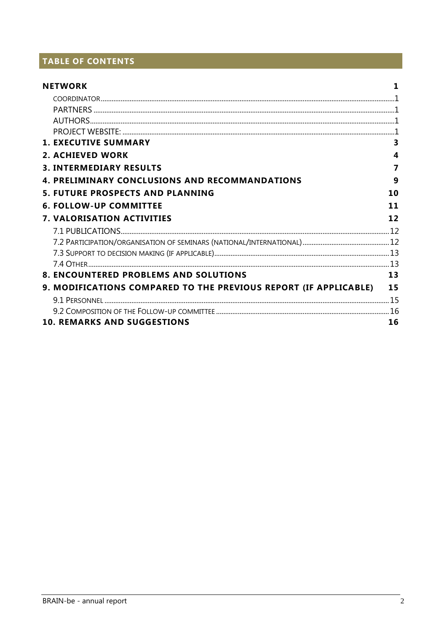# TABLE OF CONTENTS

| <b>NETWORK</b>                                                   |    |
|------------------------------------------------------------------|----|
|                                                                  |    |
|                                                                  |    |
|                                                                  |    |
|                                                                  |    |
| <b>1. EXECUTIVE SUMMARY</b>                                      | 3  |
| <b>2. ACHIEVED WORK</b>                                          | 4  |
| <b>3. INTERMEDIARY RESULTS</b>                                   | 7  |
| <b>4. PRELIMINARY CONCLUSIONS AND RECOMMANDATIONS</b>            | 9  |
| <b>5. FUTURE PROSPECTS AND PLANNING</b>                          | 10 |
| <b>6. FOLLOW-UP COMMITTEE</b>                                    | 11 |
| <b>7. VALORISATION ACTIVITIES</b>                                | 12 |
|                                                                  |    |
|                                                                  |    |
|                                                                  |    |
|                                                                  |    |
| <b>8. ENCOUNTERED PROBLEMS AND SOLUTIONS</b>                     | 13 |
| 9. MODIFICATIONS COMPARED TO THE PREVIOUS REPORT (IF APPLICABLE) | 15 |
|                                                                  |    |
|                                                                  |    |
| <b>10. REMARKS AND SUGGESTIONS</b>                               | 16 |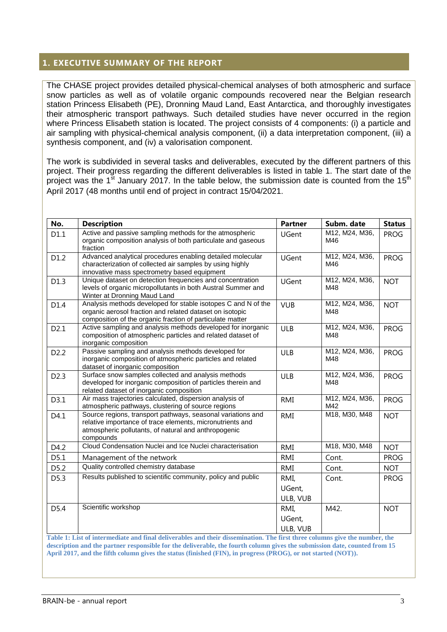# <span id="page-3-0"></span>**1. EXECUTIVE SUMMARY OF THE REPORT**

The CHASE project provides detailed physical-chemical analyses of both atmospheric and surface snow particles as well as of volatile organic compounds recovered near the Belgian research station Princess Elisabeth (PE), Dronning Maud Land, East Antarctica, and thoroughly investigates their atmospheric transport pathways. Such detailed studies have never occurred in the region where Princess Elisabeth station is located. The project consists of 4 components: (i) a particle and air sampling with physical-chemical analysis component, (ii) a data interpretation component, (iii) a synthesis component, and (iv) a valorisation component.

The work is subdivided in several tasks and deliverables, executed by the different partners of this project. Their progress regarding the different deliverables is listed in table 1. The start date of the project was the 1<sup>st</sup> January 2017. In the table below, the submission date is counted from the 15<sup>th</sup> April 2017 (48 months until end of project in contract 15/04/2021.

| No.              | <b>Description</b>                                                                                                                                                                            | <b>Partner</b>             | Subm. date            | <b>Status</b> |
|------------------|-----------------------------------------------------------------------------------------------------------------------------------------------------------------------------------------------|----------------------------|-----------------------|---------------|
| D1.1             | Active and passive sampling methods for the atmospheric<br>organic composition analysis of both particulate and gaseous<br>fraction                                                           | <b>UGent</b>               | M12, M24, M36,<br>M46 | <b>PROG</b>   |
| D1.2             | Advanced analytical procedures enabling detailed molecular<br>characterization of collected air samples by using highly<br>innovative mass spectrometry based equipment                       | <b>UGent</b>               | M12, M24, M36,<br>M46 | <b>PROG</b>   |
| D1.3             | Unique dataset on detection frequencies and concentration<br>levels of organic micropollutants in both Austral Summer and<br>Winter at Dronning Maud Land                                     | UGent                      | M12, M24, M36,<br>M48 | <b>NOT</b>    |
| D1.4             | Analysis methods developed for stable isotopes C and N of the<br>organic aerosol fraction and related dataset on isotopic<br>composition of the organic fraction of particulate matter        | <b>VUB</b>                 | M12, M24, M36,<br>M48 | <b>NOT</b>    |
| D2.1             | Active sampling and analysis methods developed for inorganic<br>composition of atmospheric particles and related dataset of<br>inorganic composition                                          | <b>ULB</b>                 | M12, M24, M36,<br>M48 | <b>PROG</b>   |
| D <sub>2.2</sub> | Passive sampling and analysis methods developed for<br>inorganic composition of atmospheric particles and related<br>dataset of inorganic composition                                         | <b>ULB</b>                 | M12, M24, M36,<br>M48 | <b>PROG</b>   |
| D <sub>2.3</sub> | Surface snow samples collected and analysis methods<br>developed for inorganic composition of particles therein and<br>related dataset of inorganic composition                               | <b>ULB</b>                 | M12, M24, M36,<br>M48 | <b>PROG</b>   |
| D3.1             | Air mass trajectories calculated, dispersion analysis of<br>atmospheric pathways, clustering of source regions                                                                                | <b>RMI</b>                 | M12, M24, M36,<br>M42 | <b>PROG</b>   |
| D4.1             | Source regions, transport pathways, seasonal variations and<br>relative importance of trace elements, micronutrients and<br>atmospheric pollutants, of natural and anthropogenic<br>compounds | <b>RMI</b>                 | M18, M30, M48         | <b>NOT</b>    |
| D4.2             | Cloud Condensation Nuclei and Ice Nuclei characterisation                                                                                                                                     | <b>RMI</b>                 | M18, M30, M48         | <b>NOT</b>    |
| D5.1             | Management of the network                                                                                                                                                                     | <b>RMI</b>                 | Cont.                 | <b>PROG</b>   |
| D5.2             | Quality controlled chemistry database                                                                                                                                                         | <b>RMI</b>                 | Cont.                 | <b>NOT</b>    |
| D5.3             | Results published to scientific community, policy and public                                                                                                                                  | RMI,<br>UGent,<br>ULB, VUB | Cont.                 | <b>PROG</b>   |
| D5.4             | Scientific workshop<br>Table 1: List of intermediate and final deliverables and their dissemination. The first three columns give the number, the                                             | RMI,<br>UGent,<br>ULB, VUB | M42.                  | <b>NOT</b>    |

**description and the partner responsible for the deliverable, the fourth column gives the submission date, counted from 15 April 2017, and the fifth column gives the status (finished (FIN), in progress (PROG), or not started (NOT)).**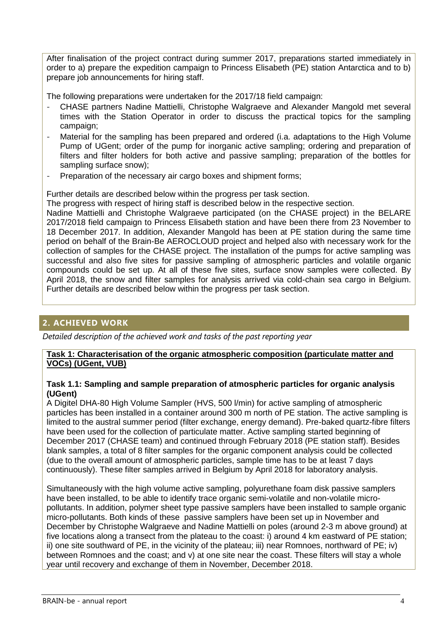After finalisation of the project contract during summer 2017, preparations started immediately in order to a) prepare the expedition campaign to Princess Elisabeth (PE) station Antarctica and to b) prepare job announcements for hiring staff.

The following preparations were undertaken for the 2017/18 field campaign:

- CHASE partners Nadine Mattielli, Christophe Walgraeve and Alexander Mangold met several times with the Station Operator in order to discuss the practical topics for the sampling campaign;
- Material for the sampling has been prepared and ordered (i.a. adaptations to the High Volume Pump of UGent; order of the pump for inorganic active sampling; ordering and preparation of filters and filter holders for both active and passive sampling; preparation of the bottles for sampling surface snow);
- Preparation of the necessary air cargo boxes and shipment forms;

Further details are described below within the progress per task section.

The progress with respect of hiring staff is described below in the respective section.

Nadine Mattielli and Christophe Walgraeve participated (on the CHASE project) in the BELARE 2017/2018 field campaign to Princess Elisabeth station and have been there from 23 November to 18 December 2017. In addition, Alexander Mangold has been at PE station during the same time period on behalf of the Brain-Be AEROCLOUD project and helped also with necessary work for the collection of samples for the CHASE project. The installation of the pumps for active sampling was successful and also five sites for passive sampling of atmospheric particles and volatile organic compounds could be set up. At all of these five sites, surface snow samples were collected. By April 2018, the snow and filter samples for analysis arrived via cold-chain sea cargo in Belgium. Further details are described below within the progress per task section.

# <span id="page-4-0"></span>**2. ACHIEVED WORK**

*Detailed description of the achieved work and tasks of the past reporting year*

#### **Task 1: Characterisation of the organic atmospheric composition (particulate matter and VOCs) (UGent, VUB)**

#### **Task 1.1: Sampling and sample preparation of atmospheric particles for organic analysis (UGent)**

A Digitel DHA-80 High Volume Sampler (HVS, 500 l/min) for active sampling of atmospheric particles has been installed in a container around 300 m north of PE station. The active sampling is limited to the austral summer period (filter exchange, energy demand). Pre-baked quartz-fibre filters have been used for the collection of particulate matter. Active sampling started beginning of December 2017 (CHASE team) and continued through February 2018 (PE station staff). Besides blank samples, a total of 8 filter samples for the organic component analysis could be collected (due to the overall amount of atmospheric particles, sample time has to be at least 7 days continuously). These filter samples arrived in Belgium by April 2018 for laboratory analysis.

Simultaneously with the high volume active sampling, polyurethane foam disk passive samplers have been installed, to be able to identify trace organic semi-volatile and non-volatile micropollutants. In addition, polymer sheet type passive samplers have been installed to sample organic micro-pollutants. Both kinds of these passive samplers have been set up in November and December by Christophe Walgraeve and Nadine Mattielli on poles (around 2-3 m above ground) at five locations along a transect from the plateau to the coast: i) around 4 km eastward of PE station; ii) one site southward of PE, in the vicinity of the plateau; iii) near Romnoes, northward of PE; iv) between Romnoes and the coast; and v) at one site near the coast. These filters will stay a whole year until recovery and exchange of them in November, December 2018.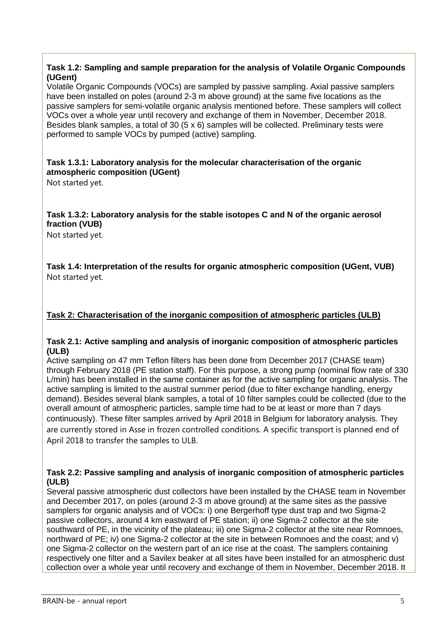## **Task 1.2: Sampling and sample preparation for the analysis of Volatile Organic Compounds (UGent)**

Volatile Organic Compounds (VOCs) are sampled by passive sampling. Axial passive samplers have been installed on poles (around 2-3 m above ground) at the same five locations as the passive samplers for semi-volatile organic analysis mentioned before. These samplers will collect VOCs over a whole year until recovery and exchange of them in November, December 2018. Besides blank samples, a total of 30 ( $5 \times 6$ ) samples will be collected. Preliminary tests were performed to sample VOCs by pumped (active) sampling.

# **Task 1.3.1: Laboratory analysis for the molecular characterisation of the organic atmospheric composition (UGent)**

Not started yet.

# **Task 1.3.2: Laboratory analysis for the stable isotopes C and N of the organic aerosol fraction (VUB)**

Not started yet.

**Task 1.4: Interpretation of the results for organic atmospheric composition (UGent, VUB)** Not started yet.

# **Task 2: Characterisation of the inorganic composition of atmospheric particles (ULB)**

## **Task 2.1: Active sampling and analysis of inorganic composition of atmospheric particles (ULB)**

Active sampling on 47 mm Teflon filters has been done from December 2017 (CHASE team) through February 2018 (PE station staff). For this purpose, a strong pump (nominal flow rate of 330 L/min) has been installed in the same container as for the active sampling for organic analysis. The active sampling is limited to the austral summer period (due to filter exchange handling, energy demand). Besides several blank samples, a total of 10 filter samples could be collected (due to the overall amount of atmospheric particles, sample time had to be at least or more than 7 days continuously). These filter samples arrived by April 2018 in Belgium for laboratory analysis. They are currently stored in Asse in frozen controlled conditions. A specific transport is planned end of April 2018 to transfer the samples to ULB.

## **Task 2.2: Passive sampling and analysis of inorganic composition of atmospheric particles (ULB)**

Several passive atmospheric dust collectors have been installed by the CHASE team in November and December 2017, on poles (around 2-3 m above ground) at the same sites as the passive samplers for organic analysis and of VOCs: i) one Bergerhoff type dust trap and two Sigma-2 passive collectors, around 4 km eastward of PE station; ii) one Sigma-2 collector at the site southward of PE, in the vicinity of the plateau; iii) one Sigma-2 collector at the site near Romnoes, northward of PE; iv) one Sigma-2 collector at the site in between Romnoes and the coast; and v) one Sigma-2 collector on the western part of an ice rise at the coast. The samplers containing respectively one filter and a Savilex beaker at all sites have been installed for an atmospheric dust collection over a whole year until recovery and exchange of them in November, December 2018. It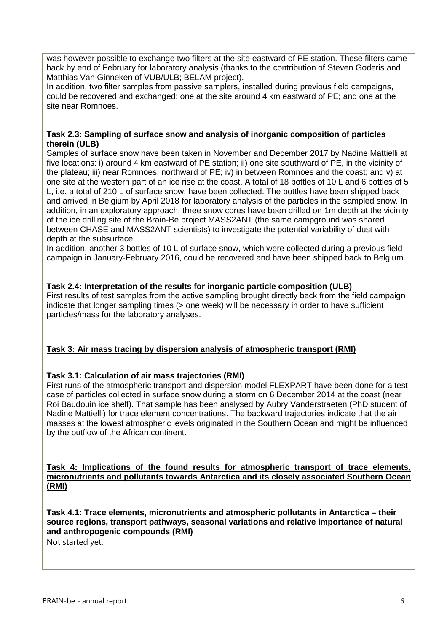was however possible to exchange two filters at the site eastward of PE station. These filters came back by end of February for laboratory analysis (thanks to the contribution of Steven Goderis and Matthias Van Ginneken of VUB/ULB; BELAM project).

In addition, two filter samples from passive samplers, installed during previous field campaigns, could be recovered and exchanged: one at the site around 4 km eastward of PE; and one at the site near Romnoes.

#### **Task 2.3: Sampling of surface snow and analysis of inorganic composition of particles therein (ULB)**

Samples of surface snow have been taken in November and December 2017 by Nadine Mattielli at five locations: i) around 4 km eastward of PE station; ii) one site southward of PE, in the vicinity of the plateau; iii) near Romnoes, northward of PE; iv) in between Romnoes and the coast; and v) at one site at the western part of an ice rise at the coast. A total of 18 bottles of 10 L and 6 bottles of 5 L, i.e. a total of 210 L of surface snow, have been collected. The bottles have been shipped back and arrived in Belgium by April 2018 for laboratory analysis of the particles in the sampled snow. In addition, in an exploratory approach, three snow cores have been drilled on 1m depth at the vicinity of the ice drilling site of the Brain-Be project MASS2ANT (the same campground was shared between CHASE and MASS2ANT scientists) to investigate the potential variability of dust with depth at the subsurface.

In addition, another 3 bottles of 10 L of surface snow, which were collected during a previous field campaign in January-February 2016, could be recovered and have been shipped back to Belgium.

## **Task 2.4: Interpretation of the results for inorganic particle composition (ULB)**

First results of test samples from the active sampling brought directly back from the field campaign indicate that longer sampling times (> one week) will be necessary in order to have sufficient particles/mass for the laboratory analyses.

#### **Task 3: Air mass tracing by dispersion analysis of atmospheric transport (RMI)**

#### **Task 3.1: Calculation of air mass trajectories (RMI)**

First runs of the atmospheric transport and dispersion model FLEXPART have been done for a test case of particles collected in surface snow during a storm on 6 December 2014 at the coast (near Roi Baudouin ice shelf). That sample has been analysed by Aubry Vanderstraeten (PhD student of Nadine Mattielli) for trace element concentrations. The backward trajectories indicate that the air masses at the lowest atmospheric levels originated in the Southern Ocean and might be influenced by the outflow of the African continent.

#### **Task 4: Implications of the found results for atmospheric transport of trace elements, micronutrients and pollutants towards Antarctica and its closely associated Southern Ocean (RMI)**

**Task 4.1: Trace elements, micronutrients and atmospheric pollutants in Antarctica – their source regions, transport pathways, seasonal variations and relative importance of natural and anthropogenic compounds (RMI)**

Not started yet.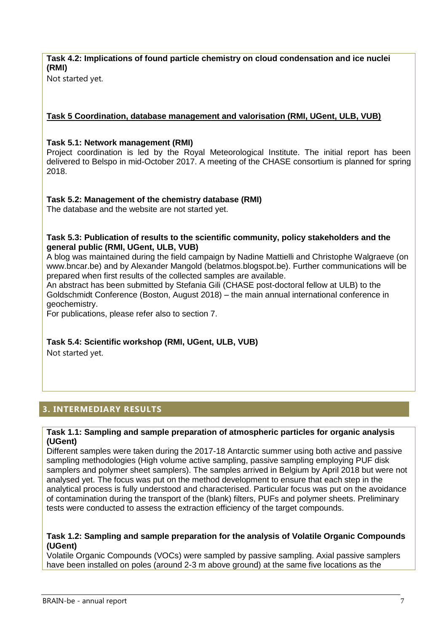# **Task 4.2: Implications of found particle chemistry on cloud condensation and ice nuclei (RMI)**

Not started yet.

# **Task 5 Coordination, database management and valorisation (RMI, UGent, ULB, VUB)**

## **Task 5.1: Network management (RMI)**

Project coordination is led by the Royal Meteorological Institute. The initial report has been delivered to Belspo in mid-October 2017. A meeting of the CHASE consortium is planned for spring 2018.

# **Task 5.2: Management of the chemistry database (RMI)**

The database and the website are not started yet.

#### **Task 5.3: Publication of results to the scientific community, policy stakeholders and the general public (RMI, UGent, ULB, VUB)**

A blog was maintained during the field campaign by Nadine Mattielli and Christophe Walgraeve (on www.bncar.be) and by Alexander Mangold (belatmos.blogspot.be). Further communications will be prepared when first results of the collected samples are available.

An abstract has been submitted by Stefania Gili (CHASE post-doctoral fellow at ULB) to the Goldschmidt Conference (Boston, August 2018) – the main annual international conference in geochemistry.

For publications, please refer also to section 7.

# **Task 5.4: Scientific workshop (RMI, UGent, ULB, VUB)**

Not started yet.

# <span id="page-7-0"></span>**3. INTERMEDIARY RESULTS**

#### **Task 1.1: Sampling and sample preparation of atmospheric particles for organic analysis (UGent)**

Different samples were taken during the 2017-18 Antarctic summer using both active and passive sampling methodologies (High volume active sampling, passive sampling employing PUF disk samplers and polymer sheet samplers). The samples arrived in Belgium by April 2018 but were not analysed yet. The focus was put on the method development to ensure that each step in the analytical process is fully understood and characterised. Particular focus was put on the avoidance of contamination during the transport of the (blank) filters, PUFs and polymer sheets. Preliminary tests were conducted to assess the extraction efficiency of the target compounds.

#### **Task 1.2: Sampling and sample preparation for the analysis of Volatile Organic Compounds (UGent)**

Volatile Organic Compounds (VOCs) were sampled by passive sampling. Axial passive samplers have been installed on poles (around 2-3 m above ground) at the same five locations as the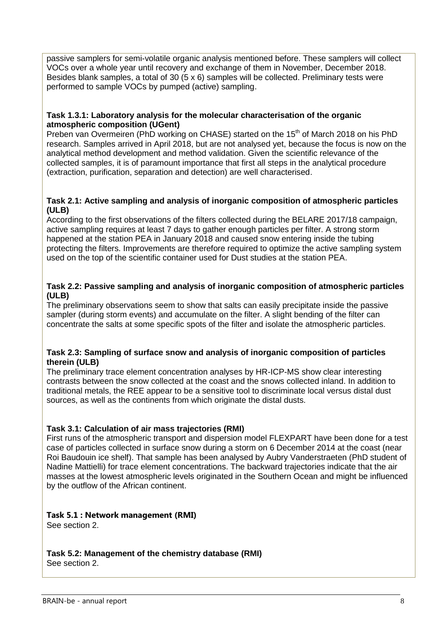passive samplers for semi-volatile organic analysis mentioned before. These samplers will collect VOCs over a whole year until recovery and exchange of them in November, December 2018. Besides blank samples, a total of 30 (5 x 6) samples will be collected. Preliminary tests were performed to sample VOCs by pumped (active) sampling.

#### **Task 1.3.1: Laboratory analysis for the molecular characterisation of the organic atmospheric composition (UGent)**

Preben van Overmeiren (PhD working on CHASE) started on the 15<sup>th</sup> of March 2018 on his PhD research. Samples arrived in April 2018, but are not analysed yet, because the focus is now on the analytical method development and method validation. Given the scientific relevance of the collected samples, it is of paramount importance that first all steps in the analytical procedure (extraction, purification, separation and detection) are well characterised.

#### **Task 2.1: Active sampling and analysis of inorganic composition of atmospheric particles (ULB)**

According to the first observations of the filters collected during the BELARE 2017/18 campaign, active sampling requires at least 7 days to gather enough particles per filter. A strong storm happened at the station PEA in January 2018 and caused snow entering inside the tubing protecting the filters. Improvements are therefore required to optimize the active sampling system used on the top of the scientific container used for Dust studies at the station PEA.

#### **Task 2.2: Passive sampling and analysis of inorganic composition of atmospheric particles (ULB)**

The preliminary observations seem to show that salts can easily precipitate inside the passive sampler (during storm events) and accumulate on the filter. A slight bending of the filter can concentrate the salts at some specific spots of the filter and isolate the atmospheric particles.

#### **Task 2.3: Sampling of surface snow and analysis of inorganic composition of particles therein (ULB)**

The preliminary trace element concentration analyses by HR-ICP-MS show clear interesting contrasts between the snow collected at the coast and the snows collected inland. In addition to traditional metals, the REE appear to be a sensitive tool to discriminate local versus distal dust sources, as well as the continents from which originate the distal dusts.

# **Task 3.1: Calculation of air mass trajectories (RMI)**

First runs of the atmospheric transport and dispersion model FLEXPART have been done for a test case of particles collected in surface snow during a storm on 6 December 2014 at the coast (near Roi Baudouin ice shelf). That sample has been analysed by Aubry Vanderstraeten (PhD student of Nadine Mattielli) for trace element concentrations. The backward trajectories indicate that the air masses at the lowest atmospheric levels originated in the Southern Ocean and might be influenced by the outflow of the African continent.

#### **Task 5.1 : Network management (RMI)**  See section 2.

**Task 5.2: Management of the chemistry database (RMI)** See section 2.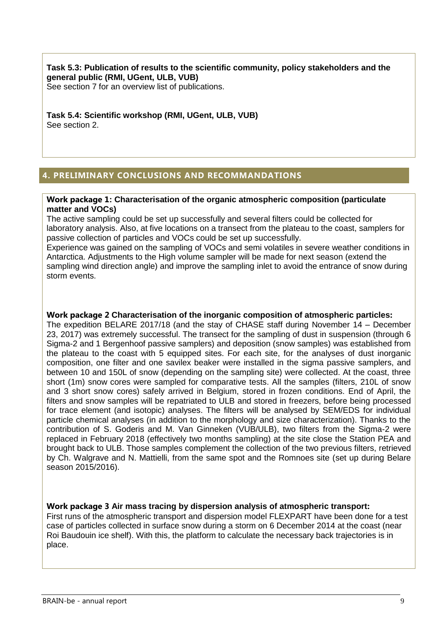**Task 5.3: Publication of results to the scientific community, policy stakeholders and the general public (RMI, UGent, ULB, VUB)** See section 7 for an overview list of publications.

**Task 5.4: Scientific workshop (RMI, UGent, ULB, VUB)**  See section 2.

# <span id="page-9-0"></span>**4. PRELIMINARY CONCLUSIONS AND RECOMMANDATIONS**

#### **Work package 1: Characterisation of the organic atmospheric composition (particulate matter and VOCs)**

The active sampling could be set up successfully and several filters could be collected for laboratory analysis. Also, at five locations on a transect from the plateau to the coast, samplers for passive collection of particles and VOCs could be set up successfully.

Experience was gained on the sampling of VOCs and semi volatiles in severe weather conditions in Antarctica. Adjustments to the High volume sampler will be made for next season (extend the sampling wind direction angle) and improve the sampling inlet to avoid the entrance of snow during storm events.

#### **Work package 2 Characterisation of the inorganic composition of atmospheric particles:**

The expedition BELARE 2017/18 (and the stay of CHASE staff during November 14 – December 23, 2017) was extremely successful. The transect for the sampling of dust in suspension (through 6 Sigma-2 and 1 Bergenhoof passive samplers) and deposition (snow samples) was established from the plateau to the coast with 5 equipped sites. For each site, for the analyses of dust inorganic composition, one filter and one savilex beaker were installed in the sigma passive samplers, and between 10 and 150L of snow (depending on the sampling site) were collected. At the coast, three short (1m) snow cores were sampled for comparative tests. All the samples (filters, 210L of snow and 3 short snow cores) safely arrived in Belgium, stored in frozen conditions. End of April, the filters and snow samples will be repatriated to ULB and stored in freezers, before being processed for trace element (and isotopic) analyses. The filters will be analysed by SEM/EDS for individual particle chemical analyses (in addition to the morphology and size characterization). Thanks to the contribution of S. Goderis and M. Van Ginneken (VUB/ULB), two filters from the Sigma-2 were replaced in February 2018 (effectively two months sampling) at the site close the Station PEA and brought back to ULB. Those samples complement the collection of the two previous filters, retrieved by Ch. Walgrave and N. Mattielli, from the same spot and the Romnoes site (set up during Belare season 2015/2016).

#### **Work package 3 Air mass tracing by dispersion analysis of atmospheric transport:**

First runs of the atmospheric transport and dispersion model FLEXPART have been done for a test case of particles collected in surface snow during a storm on 6 December 2014 at the coast (near Roi Baudouin ice shelf). With this, the platform to calculate the necessary back trajectories is in place.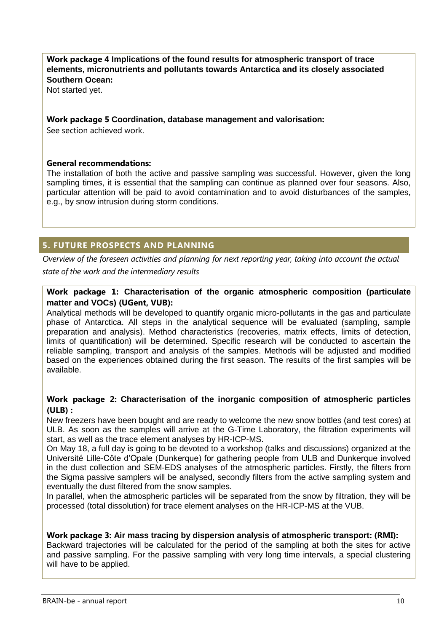# **Work package 4 Implications of the found results for atmospheric transport of trace elements, micronutrients and pollutants towards Antarctica and its closely associated Southern Ocean:**

Not started yet.

#### **Work package 5 Coordination, database management and valorisation:**

See section achieved work.

#### **General recommendations:**

The installation of both the active and passive sampling was successful. However, given the long sampling times, it is essential that the sampling can continue as planned over four seasons. Also, particular attention will be paid to avoid contamination and to avoid disturbances of the samples, e.g., by snow intrusion during storm conditions.

# <span id="page-10-0"></span>**5. FUTURE PROSPECTS AND PLANNING**

*Overview of the foreseen activities and planning for next reporting year, taking into account the actual state of the work and the intermediary results*

## **Work package 1: Characterisation of the organic atmospheric composition (particulate matter and VOCs) (UGent, VUB):**

Analytical methods will be developed to quantify organic micro-pollutants in the gas and particulate phase of Antarctica. All steps in the analytical sequence will be evaluated (sampling, sample preparation and analysis). Method characteristics (recoveries, matrix effects, limits of detection, limits of quantification) will be determined. Specific research will be conducted to ascertain the reliable sampling, transport and analysis of the samples. Methods will be adjusted and modified based on the experiences obtained during the first season. The results of the first samples will be available.

## **Work package 2: Characterisation of the inorganic composition of atmospheric particles (ULB) :**

New freezers have been bought and are ready to welcome the new snow bottles (and test cores) at ULB. As soon as the samples will arrive at the G-Time Laboratory, the filtration experiments will start, as well as the trace element analyses by HR-ICP-MS.

On May 18, a full day is going to be devoted to a workshop (talks and discussions) organized at the Université Lille-Côte d'Opale (Dunkerque) for gathering people from ULB and Dunkerque involved in the dust collection and SEM-EDS analyses of the atmospheric particles. Firstly, the filters from the Sigma passive samplers will be analysed, secondly filters from the active sampling system and eventually the dust filtered from the snow samples.

In parallel, when the atmospheric particles will be separated from the snow by filtration, they will be processed (total dissolution) for trace element analyses on the HR-ICP-MS at the VUB.

#### **Work package 3: Air mass tracing by dispersion analysis of atmospheric transport: (RMI):**

Backward trajectories will be calculated for the period of the sampling at both the sites for active and passive sampling. For the passive sampling with very long time intervals, a special clustering will have to be applied.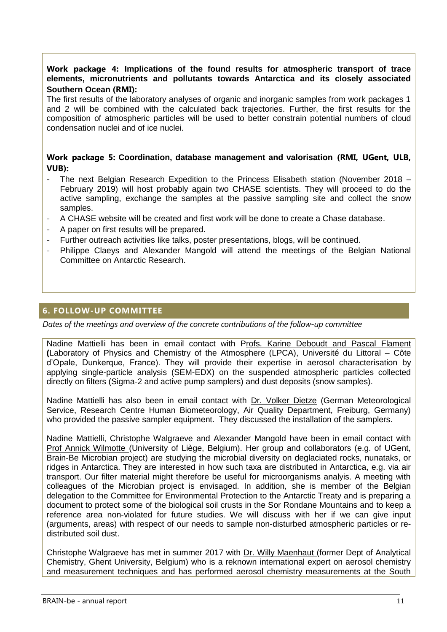## **Work package 4: Implications of the found results for atmospheric transport of trace elements, micronutrients and pollutants towards Antarctica and its closely associated Southern Ocean (RMI):**

The first results of the laboratory analyses of organic and inorganic samples from work packages 1 and 2 will be combined with the calculated back trajectories. Further, the first results for the composition of atmospheric particles will be used to better constrain potential numbers of cloud condensation nuclei and of ice nuclei.

## **Work package 5: Coordination, database management and valorisation (RMI, UGent, ULB, VUB):**

- The next Belgian Research Expedition to the Princess Elisabeth station (November 2018 February 2019) will host probably again two CHASE scientists. They will proceed to do the active sampling, exchange the samples at the passive sampling site and collect the snow samples.
- A CHASE website will be created and first work will be done to create a Chase database.
- A paper on first results will be prepared.
- Further outreach activities like talks, poster presentations, blogs, will be continued.
- Philippe Claeys and Alexander Mangold will attend the meetings of the Belgian National Committee on Antarctic Research.

# <span id="page-11-0"></span>**6. FOLLOW-UP COMMITTEE**

*Dates of the meetings and overview of the concrete contributions of the follow-up committee*

Nadine Mattielli has been in email contact with Profs. Karine Deboudt and Pascal Flament **(**Laboratory of Physics and Chemistry of the Atmosphere (LPCA), Université du Littoral – Côte d'Opale, Dunkerque, France). They will provide their expertise in aerosol characterisation by applying single-particle analysis (SEM-EDX) on the suspended atmospheric particles collected directly on filters (Sigma-2 and active pump samplers) and dust deposits (snow samples).

Nadine Mattielli has also been in email contact with Dr. Volker Dietze (German Meteorological Service, Research Centre Human Biometeorology, Air Quality Department, Freiburg, Germany) who provided the passive sampler equipment. They discussed the installation of the samplers.

Nadine Mattielli, Christophe Walgraeve and Alexander Mangold have been in email contact with Prof Annick Wilmotte (University of Liège, Belgium). Her group and collaborators (e.g. of UGent, Brain-Be Microbian project) are studying the microbial diversity on deglaciated rocks, nunataks, or ridges in Antarctica. They are interested in how such taxa are distributed in Antarctica, e.g. via air transport. Our filter material might therefore be useful for microorganisms analyis. A meeting with colleagues of the Microbian project is envisaged. In addition, she is member of the Belgian delegation to the Committee for Environmental Protection to the Antarctic Treaty and is preparing a document to protect some of the biological soil crusts in the Sor Rondane Mountains and to keep a reference area non-violated for future studies. We will discuss with her if we can give input (arguments, areas) with respect of our needs to sample non-disturbed atmospheric particles or redistributed soil dust.

Christophe Walgraeve has met in summer 2017 with Dr. Willy Maenhaut (former Dept of Analytical Chemistry, Ghent University, Belgium) who is a reknown international expert on aerosol chemistry and measurement techniques and has performed aerosol chemistry measurements at the South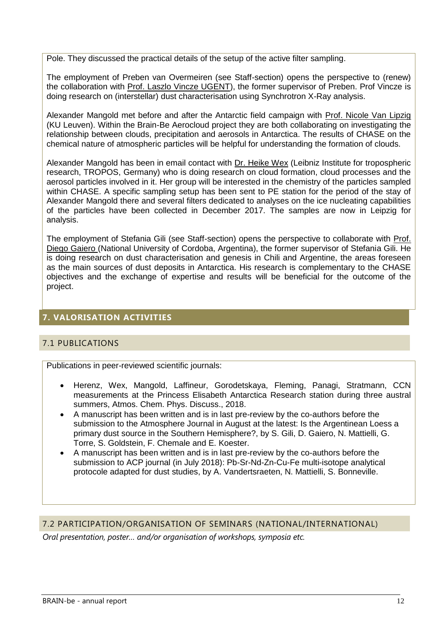Pole. They discussed the practical details of the setup of the active filter sampling.

The employment of Preben van Overmeiren (see Staff-section) opens the perspective to (renew) the collaboration with Prof. Laszlo Vincze UGENT), the former supervisor of Preben. Prof Vincze is doing research on (interstellar) dust characterisation using Synchrotron X-Ray analysis.

Alexander Mangold met before and after the Antarctic field campaign with Prof. Nicole Van Lipzig (KU Leuven). Within the Brain-Be Aerocloud project they are both collaborating on investigating the relationship between clouds, precipitation and aerosols in Antarctica. The results of CHASE on the chemical nature of atmospheric particles will be helpful for understanding the formation of clouds.

Alexander Mangold has been in email contact with Dr. Heike Wex (Leibniz Institute for tropospheric research, TROPOS, Germany) who is doing research on cloud formation, cloud processes and the aerosol particles involved in it. Her group will be interested in the chemistry of the particles sampled within CHASE. A specific sampling setup has been sent to PE station for the period of the stay of Alexander Mangold there and several filters dedicated to analyses on the ice nucleating capabilities of the particles have been collected in December 2017. The samples are now in Leipzig for analysis.

The employment of Stefania Gili (see Staff-section) opens the perspective to collaborate with Prof. Diego Gaiero (National University of Cordoba, Argentina), the former supervisor of Stefania Gili. He is doing research on dust characterisation and genesis in Chili and Argentine, the areas foreseen as the main sources of dust deposits in Antarctica. His research is complementary to the CHASE objectives and the exchange of expertise and results will be beneficial for the outcome of the project.

# <span id="page-12-0"></span>**7. VALORISATION ACTIVITIES**

# <span id="page-12-1"></span>7.1 PUBLICATIONS

Publications in peer-reviewed scientific journals:

- Herenz, Wex, Mangold, Laffineur, Gorodetskaya, Fleming, Panagi, Stratmann, CCN measurements at the Princess Elisabeth Antarctica Research station during three austral summers, Atmos. Chem. Phys. Discuss., 2018.
- A manuscript has been written and is in last pre-review by the co-authors before the submission to the Atmosphere Journal in August at the latest: Is the Argentinean Loess a primary dust source in the Southern Hemisphere?, by S. Gili, D. Gaiero, N. Mattielli, G. Torre, S. Goldstein, F. Chemale and E. Koester.
- A manuscript has been written and is in last pre-review by the co-authors before the submission to ACP journal (in July 2018): Pb-Sr-Nd-Zn-Cu-Fe multi-isotope analytical protocole adapted for dust studies, by A. Vandertsraeten, N. Mattielli, S. Bonneville.

#### <span id="page-12-2"></span>7.2 PARTICIPATION/ORGANISATION OF SEMINARS (NATIONAL/INTERNATIONAL)

*Oral presentation, poster… and/or organisation of workshops, symposia etc.*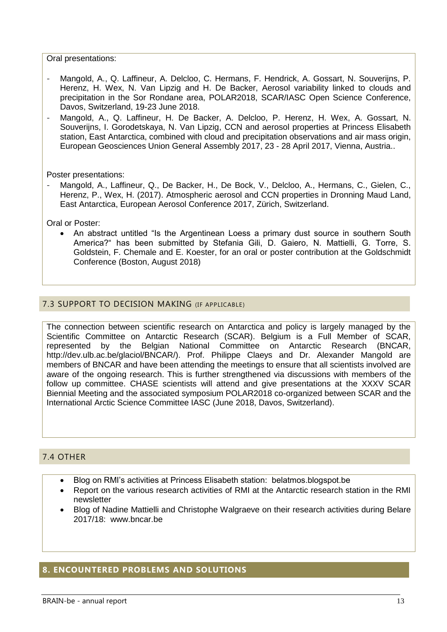Oral presentations:

- Mangold, A., Q. Laffineur, A. Delcloo, C. Hermans, F. Hendrick, A. Gossart, N. Souverijns, P. Herenz, H. Wex, N. Van Lipzig and H. De Backer, Aerosol variability linked to clouds and precipitation in the Sor Rondane area, POLAR2018, SCAR/IASC Open Science Conference, Davos, Switzerland, 19-23 June 2018.
- Mangold, A., Q. Laffineur, H. De Backer, A. Delcloo, P. Herenz, H. Wex, A. Gossart, N. Souverijns, I. Gorodetskaya, N. Van Lipzig, CCN and aerosol properties at Princess Elisabeth station, East Antarctica, combined with cloud and precipitation observations and air mass origin, European Geosciences Union General Assembly 2017, 23 - 28 April 2017, Vienna, Austria..

Poster presentations:

- Mangold, A., Laffineur, Q., De Backer, H., De Bock, V., Delcloo, A., Hermans, C., Gielen, C., Herenz, P., Wex, H. (2017). Atmospheric aerosol and CCN properties in Dronning Maud Land, East Antarctica, European Aerosol Conference 2017, Zürich, Switzerland.

Oral or Poster:

 An abstract untitled "Is the Argentinean Loess a primary dust source in southern South America?" has been submitted by Stefania Gili, D. Gaiero, N. Mattielli, G. Torre, S. Goldstein, F. Chemale and E. Koester, for an oral or poster contribution at the Goldschmidt Conference (Boston, August 2018)

## <span id="page-13-0"></span>7.3 SUPPORT TO DECISION MAKING (IF APPLICABLE)

The connection between scientific research on Antarctica and policy is largely managed by the Scientific Committee on Antarctic Research (SCAR). Belgium is a Full Member of SCAR, represented by the Belgian National Committee on Antarctic Research (BNCAR, http://dev.ulb.ac.be/glaciol/BNCAR/). Prof. Philippe Claeys and Dr. Alexander Mangold are members of BNCAR and have been attending the meetings to ensure that all scientists involved are aware of the ongoing research. This is further strengthened via discussions with members of the follow up committee. CHASE scientists will attend and give presentations at the XXXV SCAR Biennial Meeting and the associated symposium POLAR2018 co-organized between SCAR and the International Arctic Science Committee IASC (June 2018, Davos, Switzerland).

# <span id="page-13-1"></span>7.4 OTHER

- Blog on RMI's activities at Princess Elisabeth station: belatmos.blogspot.be
- Report on the various research activities of RMI at the Antarctic research station in the RMI newsletter
- Blog of Nadine Mattielli and Christophe Walgraeve on their research activities during Belare 2017/18: www.bncar.be

# <span id="page-13-2"></span>**8. ENCOUNTERED PROBLEMS AND SOLUTIONS**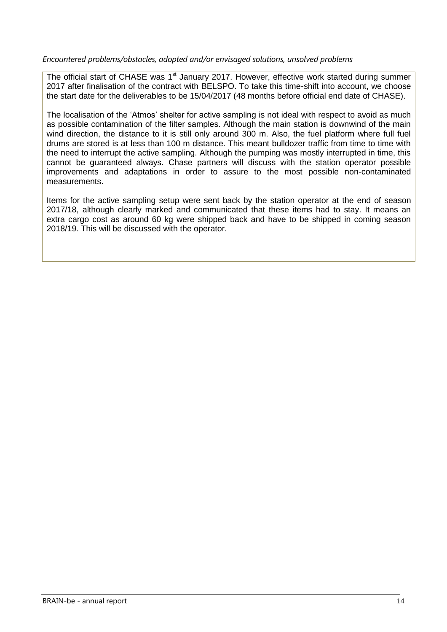#### *Encountered problems/obstacles, adopted and/or envisaged solutions, unsolved problems*

The official start of CHASE was 1<sup>st</sup> January 2017. However, effective work started during summer 2017 after finalisation of the contract with BELSPO. To take this time-shift into account, we choose the start date for the deliverables to be 15/04/2017 (48 months before official end date of CHASE).

The localisation of the 'Atmos' shelter for active sampling is not ideal with respect to avoid as much as possible contamination of the filter samples. Although the main station is downwind of the main wind direction, the distance to it is still only around 300 m. Also, the fuel platform where full fuel drums are stored is at less than 100 m distance. This meant bulldozer traffic from time to time with the need to interrupt the active sampling. Although the pumping was mostly interrupted in time, this cannot be guaranteed always. Chase partners will discuss with the station operator possible improvements and adaptations in order to assure to the most possible non-contaminated measurements.

Items for the active sampling setup were sent back by the station operator at the end of season 2017/18, although clearly marked and communicated that these items had to stay. It means an extra cargo cost as around 60 kg were shipped back and have to be shipped in coming season 2018/19. This will be discussed with the operator.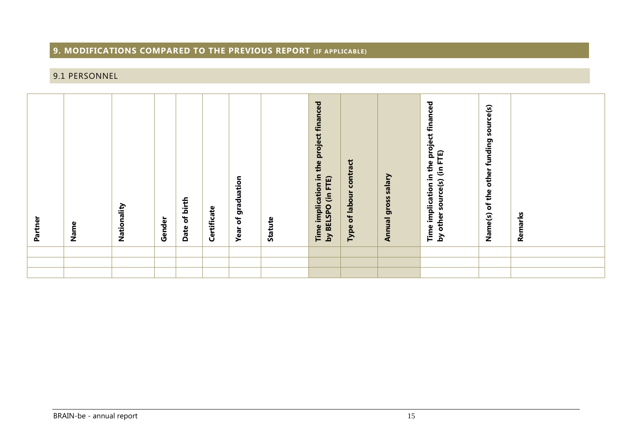# **9. MODIFICATIONS COMPARED TO THE PREVIOUS REPORT (IF APPLICABLE)**

# 9.1 PERSONNEL

<span id="page-15-1"></span><span id="page-15-0"></span>